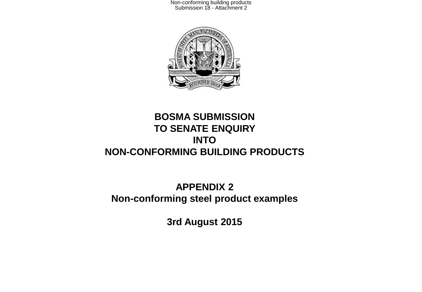

#### **BOSMA SUBMISSION TO SENATE ENQUIRY INTO NON-CONFORMING BUILDING PRODUCTS**

### **APPENDIX 2 Non-conforming steel product examples**

**3rd August 2015**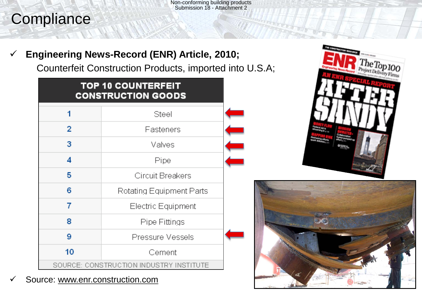# **Compliance**

### **Engineering News-Record (ENR) Article, 2010;**

Counterfeit Construction Products, imported into U.S.A;

| <b>TOP 10 COUNTERFEIT</b><br><b>CONSTRUCTION GOODS</b> |                          |  |  |
|--------------------------------------------------------|--------------------------|--|--|
| 1                                                      | Steel                    |  |  |
| 2                                                      | Fasteners                |  |  |
| 3                                                      | Valves                   |  |  |
| 4                                                      | Pipe                     |  |  |
| 5                                                      | Circuit Breakers         |  |  |
| 6                                                      | Rotating Equipment Parts |  |  |
| 7                                                      | Electric Equipment       |  |  |
| 8                                                      | Pipe Fittings            |  |  |
| 9                                                      | Pressure Vessels         |  |  |
| 10                                                     | Cement                   |  |  |
| SOURCE: CONSTRUCTION INDUSTRY INSTITUTE                |                          |  |  |

**✓** Source: www.enr.construction.com



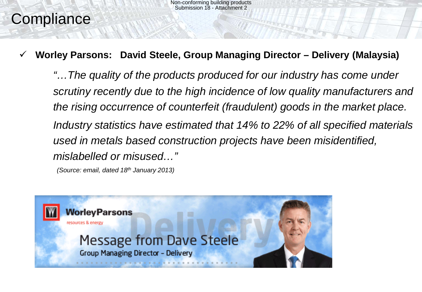# **Compliance**

### **Worley Parsons: David Steele, Group Managing Director – Delivery (Malaysia)**

*"…The quality of the products produced for our industry has come under scrutiny recently due to the high incidence of low quality manufacturers and the rising occurrence of counterfeit (fraudulent) goods in the market place. Industry statistics have estimated that 14% to 22% of all specified materials used in metals based construction projects have been misidentified, mislabelled or misused…"* 

 *(Source: email, dated 18th January 2013)*

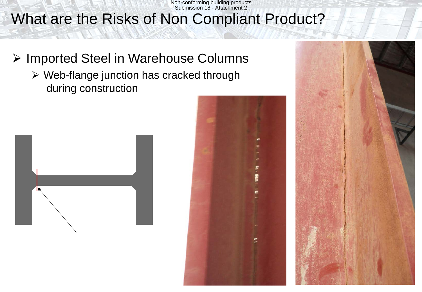What are the Risks of Non Compliant Product? Non-conforming building products Submission 18 - Attachment 2

- **▶ Imported Steel in Warehouse Columns** 
	- Web-flange junction has cracked through during construction





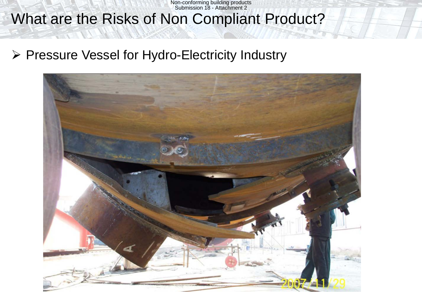# What are the Risks of Non Compliant Product?

▶ Pressure Vessel for Hydro-Electricity Industry

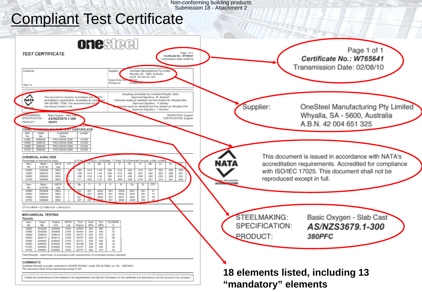## Compliant Test Certificate

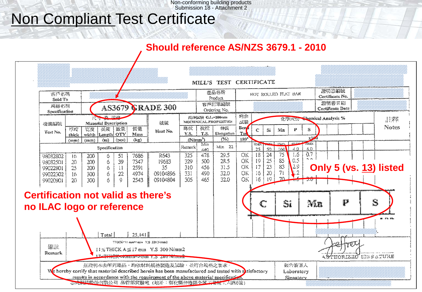## Non Compliant Test Certificate

### **Should reference AS/NZS 3679.1 - 2010**

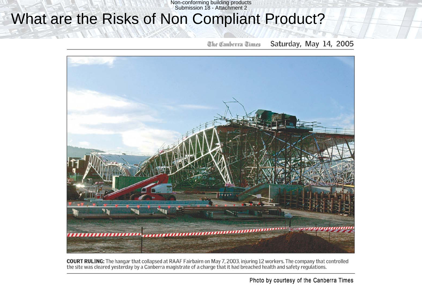## What are the Risks of Non Compliant Product?

Saturday, May 14, 2005 The Canberra Times



**COURT RULING:** The hangar that collapsed at RAAF Fairbairn on May 7, 2003, injuring 12 workers. The company that controlled the site was cleared yesterday by a Canberra magistrate of a charge that it had breached health and safety regulations.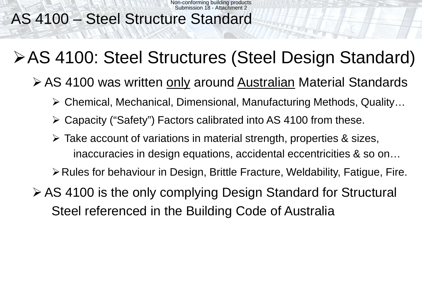# AS 4100 – Steel Structure Standard

# AS 4100: Steel Structures (Steel Design Standard)

- ≻ AS 4100 was written only around Australian Material Standards
	- Chemical, Mechanical, Dimensional, Manufacturing Methods, Quality…
	- Capacity ("Safety") Factors calibrated into AS 4100 from these.
	- Take account of variations in material strength, properties & sizes, inaccuracies in design equations, accidental eccentricities & so on…

**≻ Rules for behaviour in Design, Brittle Fracture, Weldability, Fatigue, Fire.** 

AS 4100 is the only complying Design Standard for Structural Steel referenced in the Building Code of Australia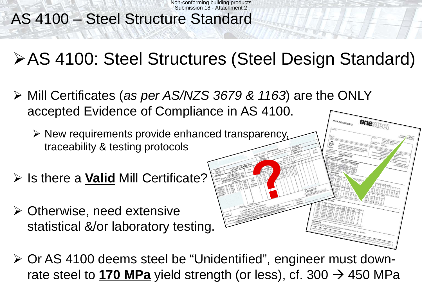# AS 4100 – Steel Structure Standard

# AS 4100: Steel Structures (Steel Design Standard)

 Mill Certificates (*as per AS/NZS 3679 & 1163*) are the ONLY accepted Evidence of Compliance in AS 4100.

 $\triangleright$  New requirements provide enhanced transparency, traceability & testing protocols

- **▶ Is there a Valid Mill Certificate?**
- Otherwise, need extensive statistical &/or laboratory testing.



 Or AS 4100 deems steel be "Unidentified", engineer must downrate steel to **170 MPa** yield strength (or less), cf. 300  $\rightarrow$  450 MPa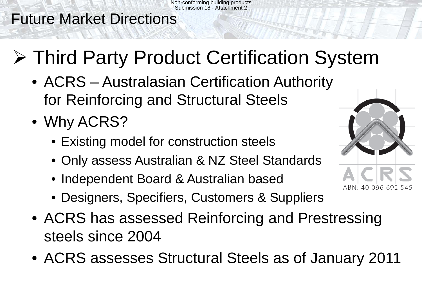## Future Market Directions

# Third Party Product Certification System

- ACRS Australasian Certification Authority for Reinforcing and Structural Steels
- Why ACRS?
	- Existing model for construction steels
	- Only assess Australian & NZ Steel Standards
	- Independent Board & Australian based
	- Designers, Specifiers, Customers & Suppliers
- ACRS has assessed Reinforcing and Prestressing steels since 2004
- ACRS assesses Structural Steels as of January 2011

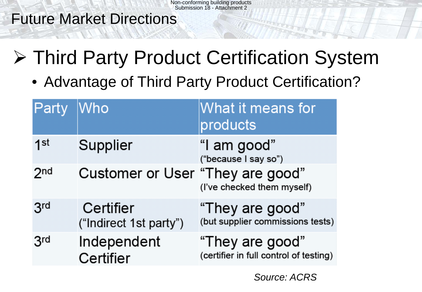Future Market Directions

- **≻ Third Party Product Certification System** 
	- Advantage of Third Party Product Certification?

| Party           | Who                                 | What it means for<br>products                             |
|-----------------|-------------------------------------|-----------------------------------------------------------|
| 1 <sup>st</sup> | Supplier                            | "I am good"<br>("because I say so")                       |
| 2 <sub>nd</sub> | Customer or User "They are good"    | (I've checked them myself)                                |
| 3 <sup>rd</sup> | Certifier<br>("Indirect 1st party") | "They are good"<br>(but supplier commissions tests)       |
| 3rd             | Independent<br>Certifier            | "They are good"<br>(certifier in full control of testing) |

*Source: ACRS*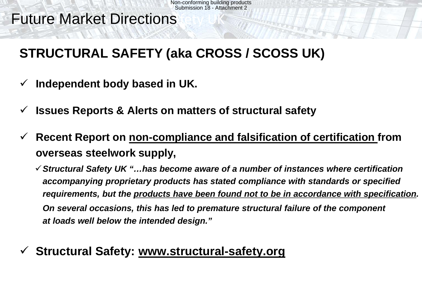# **Future Market Directions**

# **STRUCTURAL SAFETY (aka CROSS / SCOSS UK)**

- **Independent body based in UK.**
- **Issues Reports & Alerts on matters of structural safety**
- **Recent Report on non-compliance and falsification of certification from overseas steelwork supply,**

*Structural Safety UK "…has become aware of a number of instances where certification accompanying proprietary products has stated compliance with standards or specified requirements, but the products have been found not to be in accordance with specification. On several occasions, this has led to premature structural failure of the component at loads well below the intended design."*

## **Structural Safety: www.structural-safety.org**